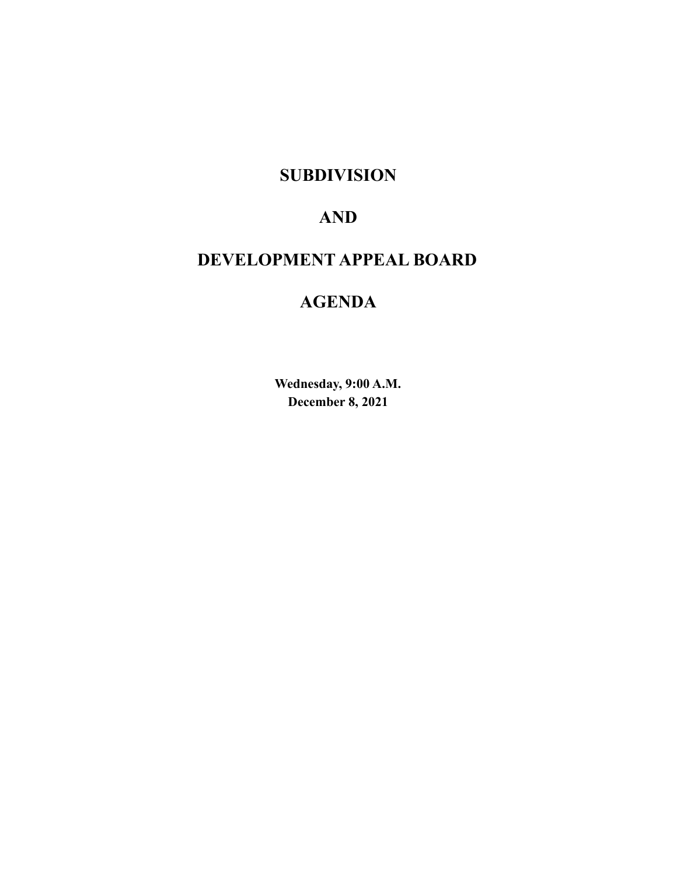# **SUBDIVISION**

# **AND**

# **DEVELOPMENT APPEAL BOARD**

# **AGENDA**

**Wednesday, 9:00 A.M. December 8, 2021**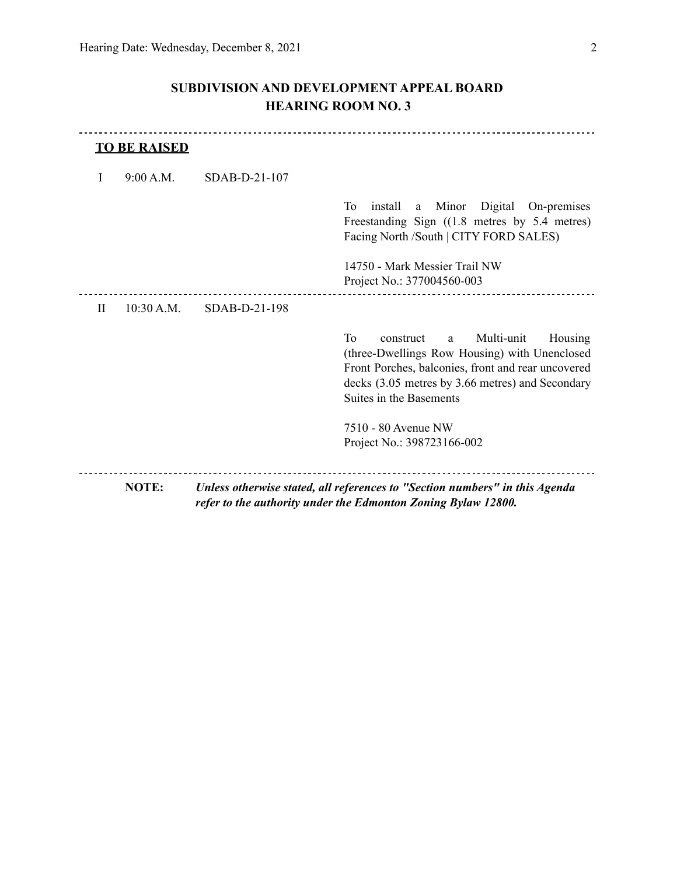# **SUBDIVISION AND DEVELOPMENT APPEAL BOARD HEARING ROOM NO. 3**

|              | <b>TO BE RAISED</b> |                 |                                                                                                                                                                                                                                     |
|--------------|---------------------|-----------------|-------------------------------------------------------------------------------------------------------------------------------------------------------------------------------------------------------------------------------------|
| I            | 9:00 A.M.           | $SDAB-D-21-107$ |                                                                                                                                                                                                                                     |
|              |                     |                 | Digital On-premises<br>Tо<br>Minor<br>install<br>a<br>Freestanding Sign $((1.8 \text{ metres by } 5.4 \text{ metres})$<br>Facing North /South   CITY FORD SALES)<br>14750 - Mark Messier Trail NW<br>Project No.: 377004560-003     |
| $\mathbf{H}$ | 10:30 A.M.          | SDAB-D-21-198   |                                                                                                                                                                                                                                     |
|              |                     |                 | To<br>Multi-unit<br>Housing<br>construct<br>a<br>(three-Dwellings Row Housing) with Unenclosed<br>Front Porches, balconies, front and rear uncovered<br>decks (3.05 metres by 3.66 metres) and Secondary<br>Suites in the Basements |
|              |                     |                 | 7510 - 80 Avenue NW<br>Project No.: 398723166-002                                                                                                                                                                                   |
|              | <b>NOTE:</b>        |                 | Unless otherwise stated, all references to "Section numbers" in this Agenda<br>refer to the authority under the Edmonton Zoning Bylaw 12800.                                                                                        |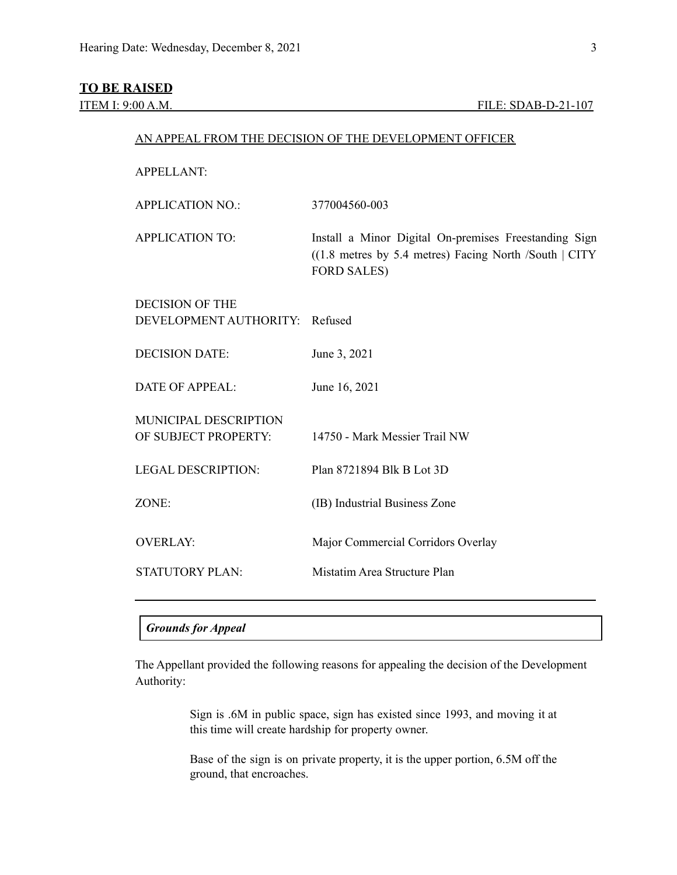## **TO BE RAISED**

| <b>APPELLANT:</b>         |                                                                                                                                         |
|---------------------------|-----------------------------------------------------------------------------------------------------------------------------------------|
| <b>APPLICATION NO.:</b>   | 377004560-003                                                                                                                           |
| <b>APPLICATION TO:</b>    | Install a Minor Digital On-premises Freestanding Sign<br>$((1.8$ metres by 5.4 metres) Facing North /South   CITY<br><b>FORD SALES)</b> |
| <b>DECISION OF THE</b>    |                                                                                                                                         |
| DEVELOPMENT AUTHORITY:    | Refused                                                                                                                                 |
| <b>DECISION DATE:</b>     | June 3, 2021                                                                                                                            |
| <b>DATE OF APPEAL:</b>    | June 16, 2021                                                                                                                           |
| MUNICIPAL DESCRIPTION     |                                                                                                                                         |
| OF SUBJECT PROPERTY:      | 14750 - Mark Messier Trail NW                                                                                                           |
| <b>LEGAL DESCRIPTION:</b> | Plan 8721894 Blk B Lot 3D                                                                                                               |
| ZONE:                     | (IB) Industrial Business Zone                                                                                                           |
| <b>OVERLAY:</b>           | Major Commercial Corridors Overlay                                                                                                      |
| <b>STATUTORY PLAN:</b>    | Mistatim Area Structure Plan                                                                                                            |
|                           |                                                                                                                                         |

AN APPEAL FROM THE DECISION OF THE DEVELOPMENT OFFICER

### *Grounds for Appeal*

The Appellant provided the following reasons for appealing the decision of the Development Authority:

> Sign is .6M in public space, sign has existed since 1993, and moving it at this time will create hardship for property owner.

> Base of the sign is on private property, it is the upper portion, 6.5M off the ground, that encroaches.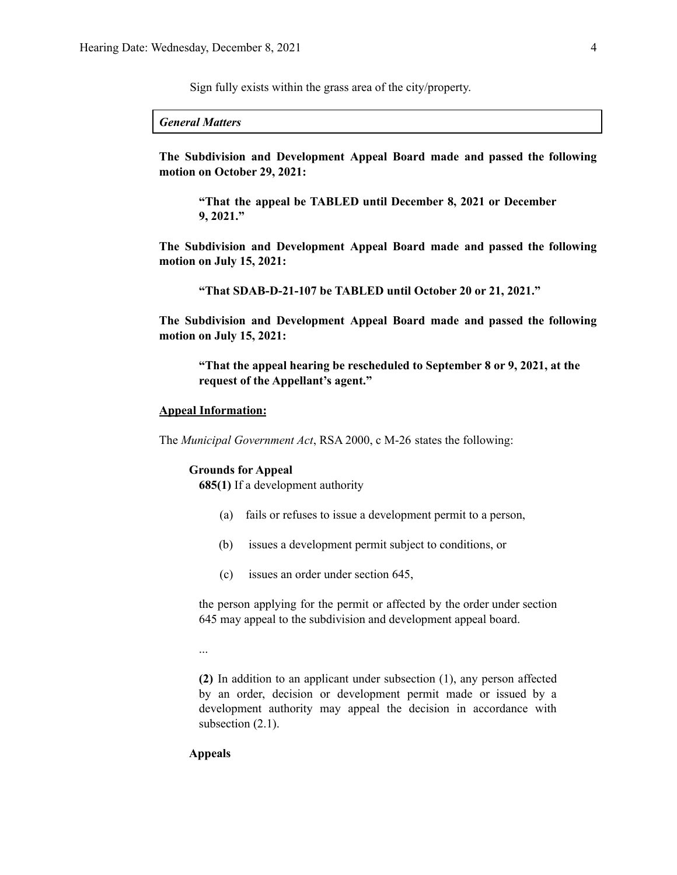Sign fully exists within the grass area of the city/property.

*General Matters*

**The Subdivision and Development Appeal Board made and passed the following motion on October 29, 2021:**

**"That the appeal be TABLED until December 8, 2021 or December 9, 2021."**

**The Subdivision and Development Appeal Board made and passed the following motion on July 15, 2021:**

**"That SDAB-D-21-107 be TABLED until October 20 or 21, 2021."**

**The Subdivision and Development Appeal Board made and passed the following motion on July 15, 2021:**

**"That the appeal hearing be rescheduled to September 8 or 9, 2021, at the request of the Appellant's agent."**

### **Appeal Information:**

The *Municipal Government Act*, RSA 2000, c M-26 states the following:

### **Grounds for Appeal**

**685(1)** If a development authority

- (a) fails or refuses to issue a development permit to a person,
- (b) issues a development permit subject to conditions, or
- (c) issues an order under section 645,

the person applying for the permit or affected by the order under section 645 may appeal to the subdivision and development appeal board.

...

**(2)** In addition to an applicant under subsection (1), any person affected by an order, decision or development permit made or issued by a development authority may appeal the decision in accordance with subsection  $(2.1)$ .

### **Appeals**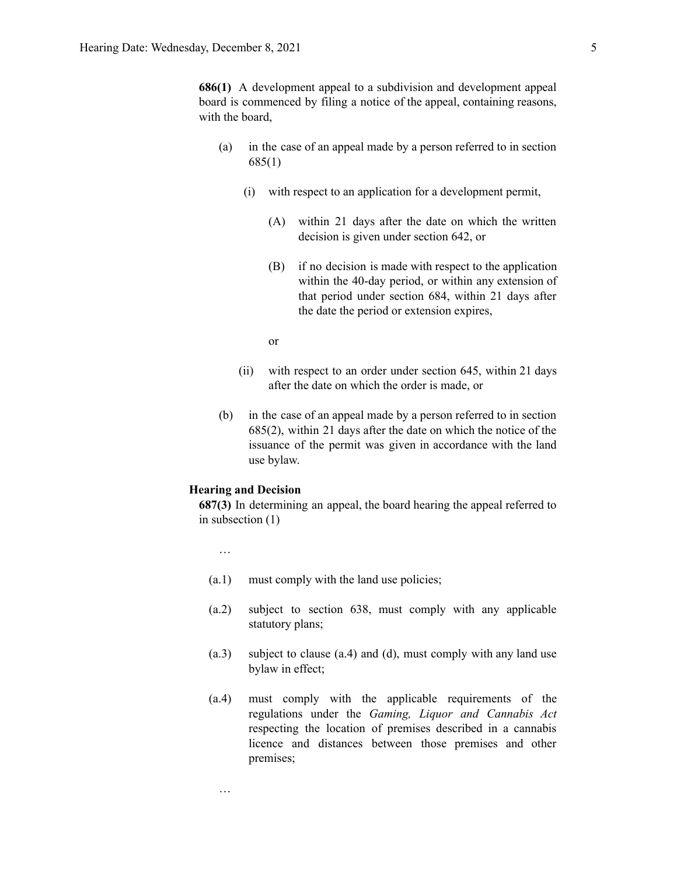**686(1)** A development appeal to a subdivision and development appeal board is commenced by filing a notice of the appeal, containing reasons, with the board,

- (a) in the case of an appeal made by a person referred to in section 685(1)
	- (i) with respect to an application for a development permit,
		- (A) within 21 days after the date on which the written decision is given under section 642, or
		- (B) if no decision is made with respect to the application within the 40-day period, or within any extension of that period under section 684, within 21 days after the date the period or extension expires,

or

- (ii) with respect to an order under section 645, within 21 days after the date on which the order is made, or
- (b) in the case of an appeal made by a person referred to in section 685(2), within 21 days after the date on which the notice of the issuance of the permit was given in accordance with the land use bylaw.

### **Hearing and Decision**

**687(3)** In determining an appeal, the board hearing the appeal referred to in subsection (1)

…

…

- (a.1) must comply with the land use policies;
- (a.2) subject to section 638, must comply with any applicable statutory plans;
- (a.3) subject to clause (a.4) and (d), must comply with any land use bylaw in effect;
- (a.4) must comply with the applicable requirements of the regulations under the *Gaming, Liquor and Cannabis Act* respecting the location of premises described in a cannabis licence and distances between those premises and other premises;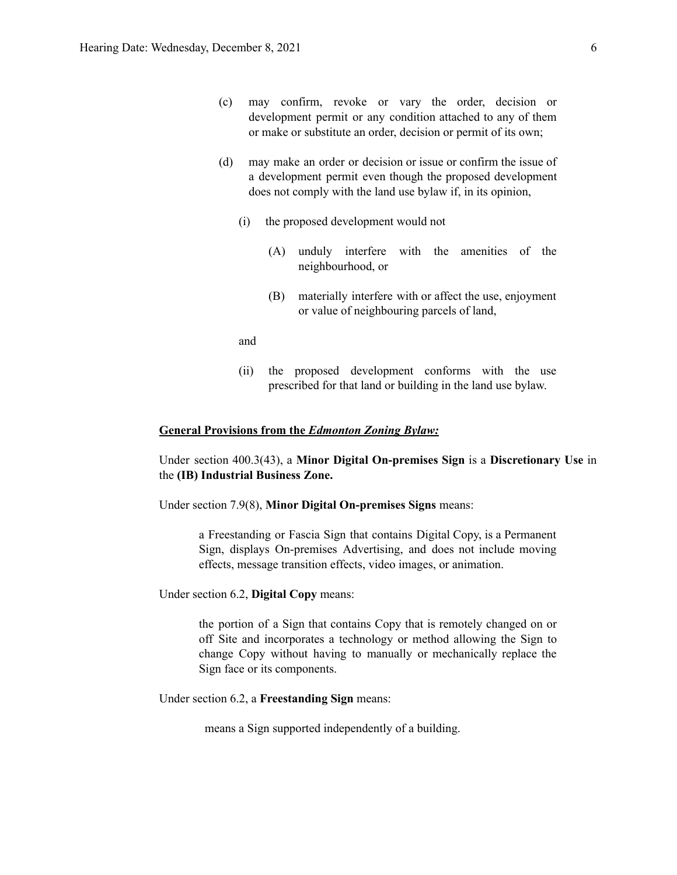- (c) may confirm, revoke or vary the order, decision or development permit or any condition attached to any of them or make or substitute an order, decision or permit of its own;
- (d) may make an order or decision or issue or confirm the issue of a development permit even though the proposed development does not comply with the land use bylaw if, in its opinion,
	- (i) the proposed development would not
		- (A) unduly interfere with the amenities of the neighbourhood, or
		- (B) materially interfere with or affect the use, enjoyment or value of neighbouring parcels of land,
	- and
	- (ii) the proposed development conforms with the use prescribed for that land or building in the land use bylaw.

### **General Provisions from the** *Edmonton Zoning Bylaw:*

Under section 400.3(43), a **Minor Digital On-premises Sign** is a **Discretionary Use** in the **(IB) Industrial Business Zone.**

Under section 7.9(8), **Minor Digital On-premises Signs** means:

a Freestanding or Fascia Sign that contains Digital Copy, is a Permanent Sign, displays On-premises Advertising, and does not include moving effects, message transition effects, video images, or animation.

Under section 6.2, **Digital Copy** means:

the portion of a Sign that contains Copy that is remotely changed on or off Site and incorporates a technology or method allowing the Sign to change Copy without having to manually or mechanically replace the Sign face or its components.

Under section 6.2, a **Freestanding Sign** means:

means a Sign supported independently of a building.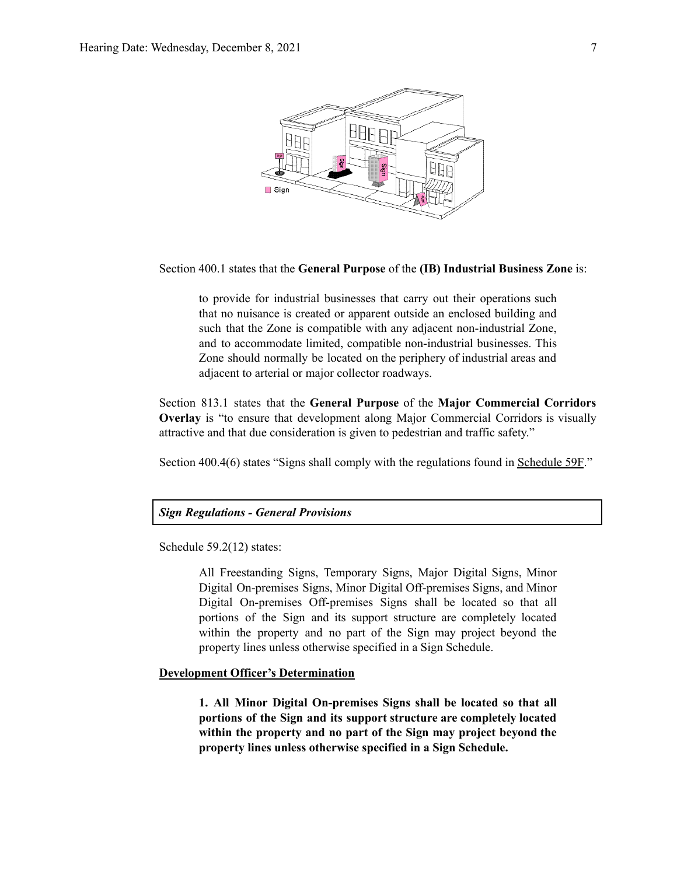

Section 400.1 states that the **General Purpose** of the **(IB) Industrial Business Zone** is:

to provide for industrial businesses that carry out their operations such that no nuisance is created or apparent outside an enclosed building and such that the Zone is compatible with any adjacent non-industrial Zone, and to accommodate limited, compatible non-industrial businesses. This Zone should normally be located on the periphery of industrial areas and adjacent to arterial or major collector roadways.

Section 813.1 states that the **General Purpose** of the **Major Commercial Corridors Overlay** is "to ensure that development along Major Commercial Corridors is visually attractive and that due consideration is given to pedestrian and traffic safety."

Section 400.4(6) states "Signs shall comply with the regulations found in Schedule 59F."

### *Sign Regulations - General Provisions*

Schedule 59.2(12) states:

All Freestanding Signs, Temporary Signs, Major Digital Signs, Minor Digital On-premises Signs, Minor Digital Off-premises Signs, and Minor Digital On-premises Off-premises Signs shall be located so that all portions of the Sign and its support structure are completely located within the property and no part of the Sign may project beyond the property lines unless otherwise specified in a Sign Schedule.

### **Development Officer's Determination**

**1. All Minor Digital On-premises Signs shall be located so that all portions of the Sign and its support structure are completely located within the property and no part of the Sign may project beyond the property lines unless otherwise specified in a Sign Schedule.**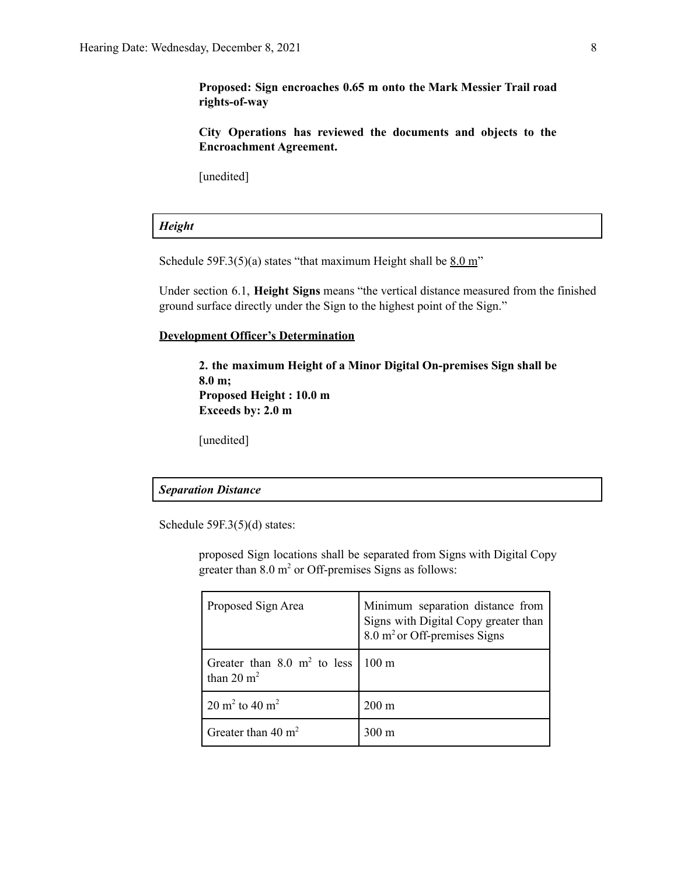**Proposed: Sign encroaches 0.65 m onto the Mark Messier Trail road rights-of-way**

**City Operations has reviewed the documents and objects to the Encroachment Agreement.**

[unedited]

### *Height*

Schedule 59F.3(5)(a) states "that maximum Height shall be  $8.0 \text{ m}$ "

Under section 6.1, **Height Signs** means "the vertical distance measured from the finished ground surface directly under the Sign to the highest point of the Sign."

### **Development Officer's Determination**

**2. the maximum Height of a Minor Digital On-premises Sign shall be 8.0 m; Proposed Height : 10.0 m Exceeds by: 2.0 m**

[unedited]

### *Separation Distance*

Schedule 59F.3(5)(d) states:

proposed Sign locations shall be separated from Signs with Digital Copy greater than  $8.0 \text{ m}^2$  or Off-premises Signs as follows:

| Proposed Sign Area                                                     | Minimum separation distance from<br>Signs with Digital Copy greater than<br>8.0 m <sup>2</sup> or Off-premises Signs |  |
|------------------------------------------------------------------------|----------------------------------------------------------------------------------------------------------------------|--|
| Greater than 8.0 m <sup>2</sup> to less 100 m<br>than $20 \text{ m}^2$ |                                                                                                                      |  |
| 20 m <sup>2</sup> to 40 m <sup>2</sup>                                 | $200 \text{ m}$                                                                                                      |  |
| Greater than 40 $m2$                                                   | $300 \text{ m}$                                                                                                      |  |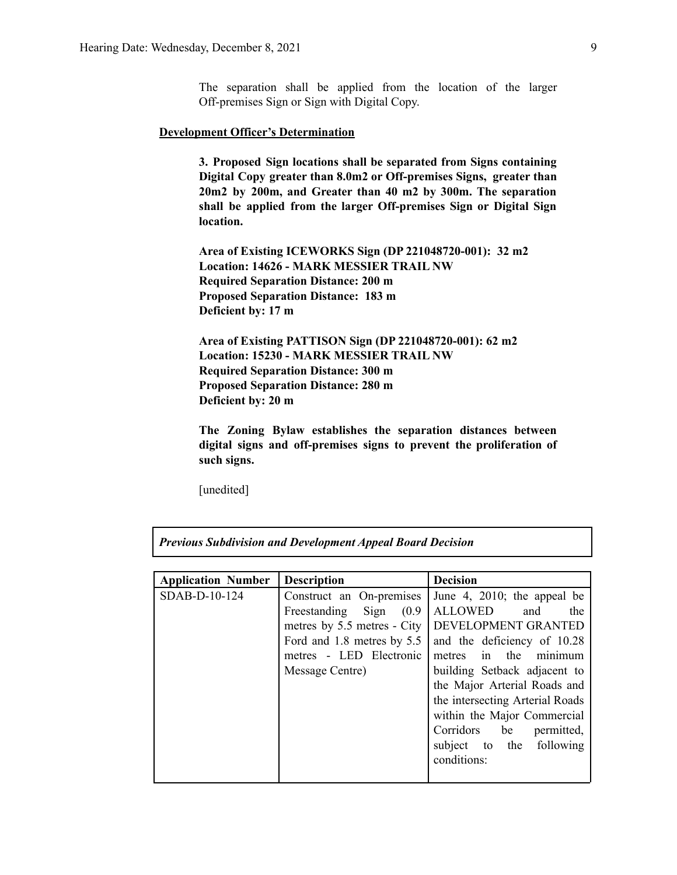The separation shall be applied from the location of the larger Off-premises Sign or Sign with Digital Copy.

### **Development Officer's Determination**

**3. Proposed Sign locations shall be separated from Signs containing Digital Copy greater than 8.0m2 or Off-premises Signs, greater than 20m2 by 200m, and Greater than 40 m2 by 300m. The separation shall be applied from the larger Off-premises Sign or Digital Sign location.**

**Area of Existing ICEWORKS Sign (DP 221048720-001): 32 m2 Location: 14626 - MARK MESSIER TRAIL NW Required Separation Distance: 200 m Proposed Separation Distance: 183 m Deficient by: 17 m**

**Area of Existing PATTISON Sign (DP 221048720-001): 62 m2 Location: 15230 - MARK MESSIER TRAIL NW Required Separation Distance: 300 m Proposed Separation Distance: 280 m Deficient by: 20 m**

**The Zoning Bylaw establishes the separation distances between digital signs and off-premises signs to prevent the proliferation of such signs.**

[unedited]

| <b>Application Number</b> | <b>Description</b>                                                                                                                                                | <b>Decision</b>                                                                                                                                                                                                                                                                                                                                          |
|---------------------------|-------------------------------------------------------------------------------------------------------------------------------------------------------------------|----------------------------------------------------------------------------------------------------------------------------------------------------------------------------------------------------------------------------------------------------------------------------------------------------------------------------------------------------------|
| SDAB-D-10-124             | Construct an On-premises<br>(0.9)<br>Freestanding Sign<br>metres by 5.5 metres - City<br>Ford and 1.8 metres by 5.5<br>metres - LED Electronic<br>Message Centre) | June 4, 2010; the appeal be<br><b>ALLOWED</b><br>and<br>the<br>DEVELOPMENT GRANTED<br>and the deficiency of 10.28<br>metres in the<br>minimum<br>building Setback adjacent to<br>the Major Arterial Roads and<br>the intersecting Arterial Roads<br>within the Major Commercial<br>Corridors be<br>permitted,<br>subject to the following<br>conditions: |
|                           |                                                                                                                                                                   |                                                                                                                                                                                                                                                                                                                                                          |

*Previous Subdivision and Development Appeal Board Decision*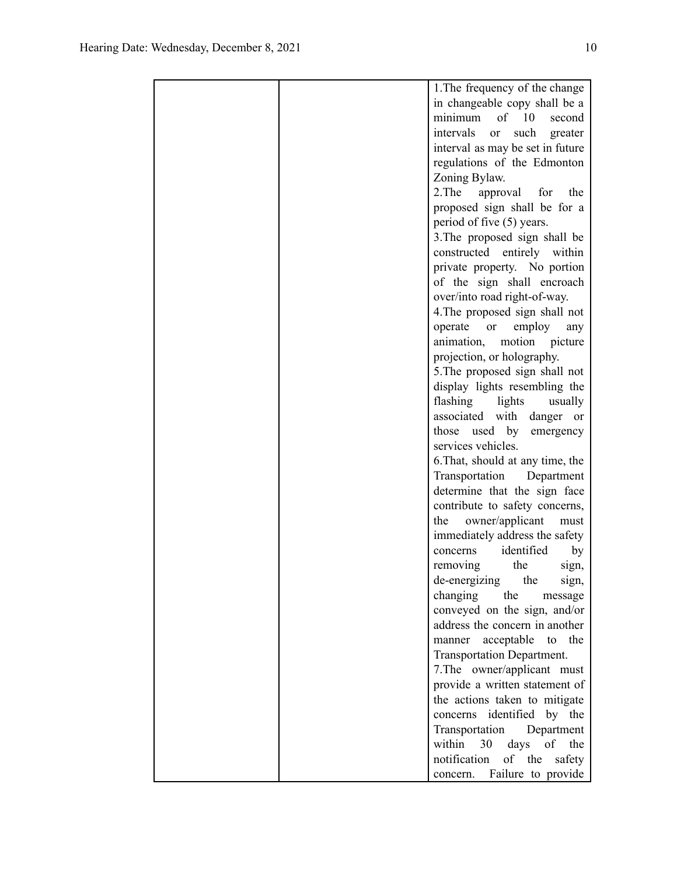|  | 1. The frequency of the change                |
|--|-----------------------------------------------|
|  | in changeable copy shall be a                 |
|  | of $10$<br>minimum<br>second                  |
|  | intervals<br>such<br><sub>or</sub><br>greater |
|  | interval as may be set in future              |
|  | regulations of the Edmonton                   |
|  | Zoning Bylaw.                                 |
|  | 2. The<br>approval for<br>the                 |
|  | proposed sign shall be for a                  |
|  | period of five (5) years.                     |
|  | 3. The proposed sign shall be                 |
|  | constructed entirely within                   |
|  | private property. No portion                  |
|  | of the sign shall encroach                    |
|  | over/into road right-of-way.                  |
|  | 4. The proposed sign shall not                |
|  | operate<br><sub>or</sub>                      |
|  | employ<br>any<br>animation,<br>motion         |
|  | picture                                       |
|  | projection, or holography.                    |
|  | 5. The proposed sign shall not                |
|  | display lights resembling the                 |
|  | flashing<br>lights<br>usually                 |
|  | associated with danger<br><sub>or</sub>       |
|  | those used by<br>emergency                    |
|  | services vehicles.                            |
|  | 6. That, should at any time, the              |
|  | Transportation<br>Department                  |
|  | determine that the sign face                  |
|  | contribute to safety concerns,                |
|  | owner/applicant<br>the<br>must                |
|  | immediately address the safety                |
|  | identified<br>concerns<br>by                  |
|  | removing<br>the<br>sign,                      |
|  | de-energizing<br>the<br>sign,                 |
|  | changing<br>the<br>message                    |
|  | conveyed on the sign, and/or                  |
|  | address the concern in another                |
|  | acceptable<br>the<br>to<br>manner             |
|  | Transportation Department.                    |
|  | 7. The owner/applicant must                   |
|  | provide a written statement of                |
|  | the actions taken to mitigate                 |
|  | concerns identified by the                    |
|  | Transportation Department                     |
|  | within<br>30<br>days of the                   |
|  | of the<br>notification<br>safety              |
|  | concern. Failure to provide                   |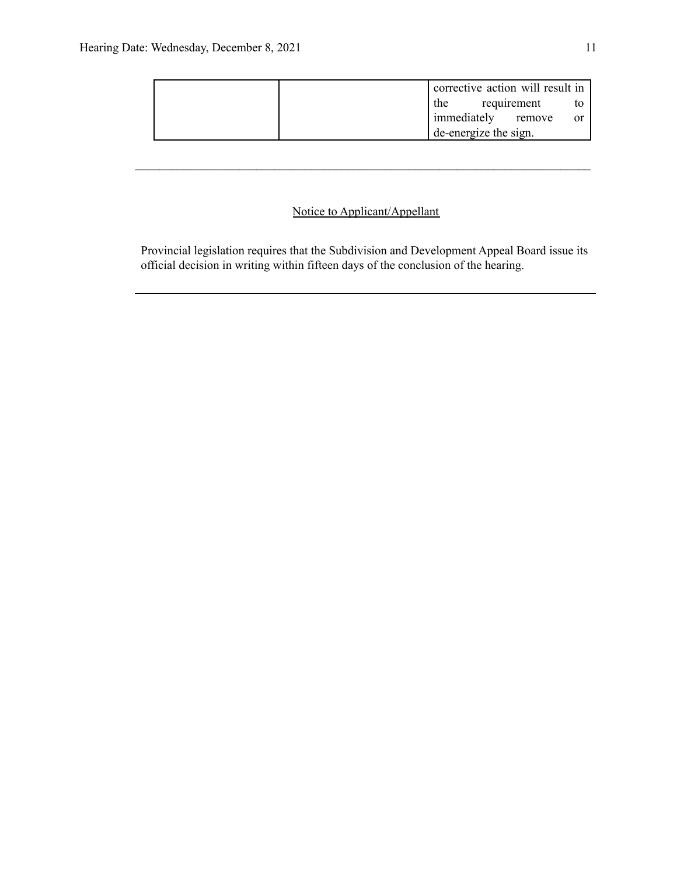|                       |             | corrective action will result in |      |
|-----------------------|-------------|----------------------------------|------|
| the                   | requirement |                                  |      |
| immediately remove    |             |                                  | - or |
| de-energize the sign. |             |                                  |      |

 $\mathcal{L}_\text{max} = \frac{1}{2} \sum_{i=1}^n \mathcal{L}_\text{max} = \frac{1}{2} \sum_{i=1}^n \mathcal{L}_\text{max} = \frac{1}{2} \sum_{i=1}^n \mathcal{L}_\text{max} = \frac{1}{2} \sum_{i=1}^n \mathcal{L}_\text{max} = \frac{1}{2} \sum_{i=1}^n \mathcal{L}_\text{max} = \frac{1}{2} \sum_{i=1}^n \mathcal{L}_\text{max} = \frac{1}{2} \sum_{i=1}^n \mathcal{L}_\text{max} = \frac{1}{2} \sum_{i=$ 

# Notice to Applicant/Appellant

Provincial legislation requires that the Subdivision and Development Appeal Board issue its official decision in writing within fifteen days of the conclusion of the hearing.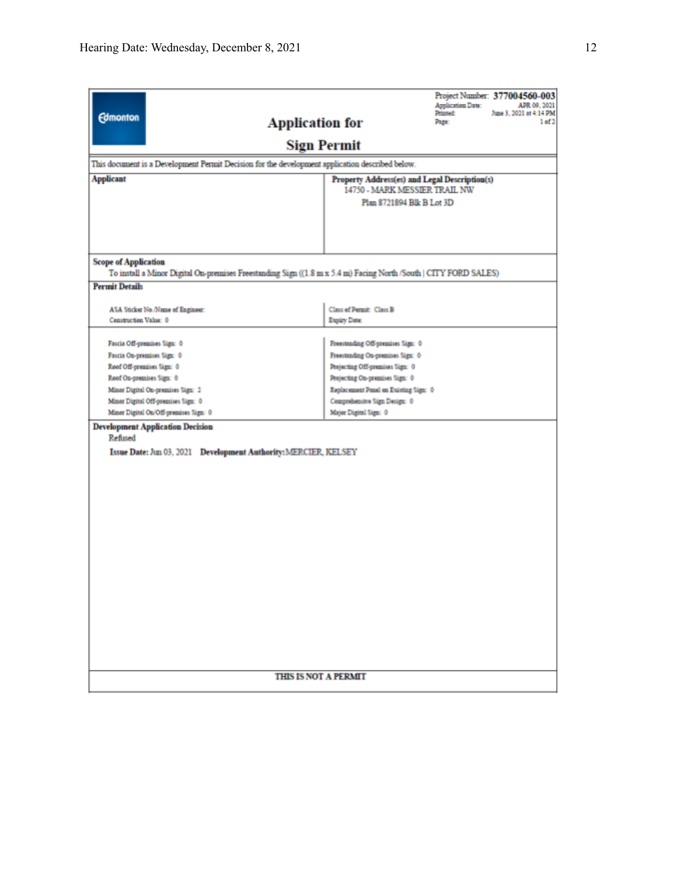| <b>Edmonton</b><br>This document is a Development Permit Decision for the development application described below.<br><b>Applicant</b> | Project Number: 377004560-003<br><b>Application Date:</b><br>APR 09, 2021<br>Printed:<br>June 3, 2021 at 4:14 PM<br>1 of 2<br><b>Application for</b><br>Page:<br><b>Sign Permit</b><br>Property Address(es) and Legal Description(s)<br>14750 - MARK MESSIER TRAIL NW<br>Plan 8721894 Blk B Lot 3D |  |  |  |  |
|----------------------------------------------------------------------------------------------------------------------------------------|----------------------------------------------------------------------------------------------------------------------------------------------------------------------------------------------------------------------------------------------------------------------------------------------------|--|--|--|--|
| <b>Scope of Application</b>                                                                                                            |                                                                                                                                                                                                                                                                                                    |  |  |  |  |
|                                                                                                                                        | To install a Minor Digital On-premises Freestanding Sign ((1.8 m x 5.4 m) Facing North /South   CITY FORD SALES)                                                                                                                                                                                   |  |  |  |  |
| <b>Permit Details</b>                                                                                                                  |                                                                                                                                                                                                                                                                                                    |  |  |  |  |
| ASA Sticker No./Name of Engineer:<br>Construction Value: 0                                                                             | Class of Permit: Class B<br>Expiry Date:                                                                                                                                                                                                                                                           |  |  |  |  |
| Fascia Off-premises Sign: 0                                                                                                            | Freestanding Off-premises Sign: 0                                                                                                                                                                                                                                                                  |  |  |  |  |
| Fascia On-premises Sign: 0                                                                                                             | Freestanding On-premises Sign: 0                                                                                                                                                                                                                                                                   |  |  |  |  |
| Roof Off-premises Sign: 0                                                                                                              | Projecting Off-premises Sign: 0                                                                                                                                                                                                                                                                    |  |  |  |  |
| Roof On-premises Sign: 0                                                                                                               | Projecting On-premises Sign: 0                                                                                                                                                                                                                                                                     |  |  |  |  |
| Minor Digital On-premises Sign: 2                                                                                                      | Replacement Panel on Existing Sign: 0                                                                                                                                                                                                                                                              |  |  |  |  |
| Minor Digital Off-premises Sign: 0                                                                                                     | Comprehensive Sign Design: 0                                                                                                                                                                                                                                                                       |  |  |  |  |
| Minor Digital On/Off-premises Sign: 0                                                                                                  | Major Digital Sign: 0                                                                                                                                                                                                                                                                              |  |  |  |  |
| <b>Development Application Decision</b><br>Refused<br>Issue Date: Jun 03, 2021  Development Authority: MERCIER, KELSEY                 |                                                                                                                                                                                                                                                                                                    |  |  |  |  |
|                                                                                                                                        | <b>THIS IS NOT A PERMIT</b>                                                                                                                                                                                                                                                                        |  |  |  |  |
|                                                                                                                                        |                                                                                                                                                                                                                                                                                                    |  |  |  |  |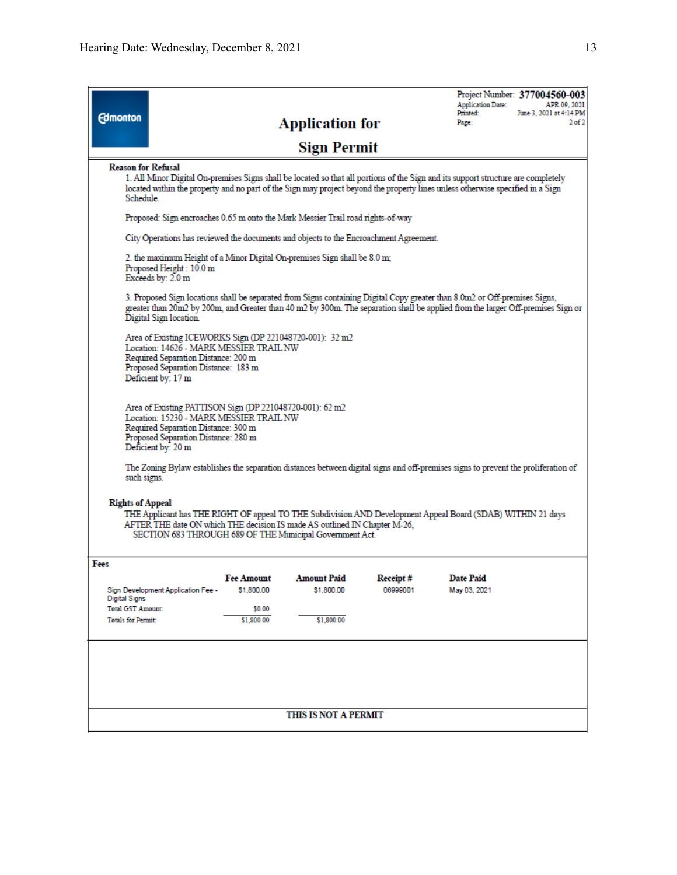| <b>Edmonton</b>                                                                                                                                                                                                                                                                 |                                                                                                                                                                                                                                                                                                              |                   | <b>Application for</b><br><b>Sign Permit</b>                                          |          | <b>Application Date:</b><br>Printed:<br>Page:                                                                                                                                                                                                                 | Project Number: 377004560-003<br>APR 09, 2021<br>June 3, 2021 at 4:14 PM<br>$2$ of $2$ |
|---------------------------------------------------------------------------------------------------------------------------------------------------------------------------------------------------------------------------------------------------------------------------------|--------------------------------------------------------------------------------------------------------------------------------------------------------------------------------------------------------------------------------------------------------------------------------------------------------------|-------------------|---------------------------------------------------------------------------------------|----------|---------------------------------------------------------------------------------------------------------------------------------------------------------------------------------------------------------------------------------------------------------------|----------------------------------------------------------------------------------------|
|                                                                                                                                                                                                                                                                                 |                                                                                                                                                                                                                                                                                                              |                   |                                                                                       |          |                                                                                                                                                                                                                                                               |                                                                                        |
|                                                                                                                                                                                                                                                                                 | <b>Reason for Refusal</b><br>1. All Minor Digital On-premises Signs shall be located so that all portions of the Sign and its support structure are completely<br>located within the property and no part of the Sign may project beyond the property lines unless otherwise specified in a Sign<br>Schedule |                   |                                                                                       |          |                                                                                                                                                                                                                                                               |                                                                                        |
|                                                                                                                                                                                                                                                                                 |                                                                                                                                                                                                                                                                                                              |                   | Proposed: Sign encroaches 0.65 m onto the Mark Messier Trail road rights-of-way       |          |                                                                                                                                                                                                                                                               |                                                                                        |
|                                                                                                                                                                                                                                                                                 |                                                                                                                                                                                                                                                                                                              |                   | City Operations has reviewed the documents and objects to the Encroachment Agreement. |          |                                                                                                                                                                                                                                                               |                                                                                        |
|                                                                                                                                                                                                                                                                                 | Proposed Height: 10.0 m<br>Exceeds by: 2.0 m                                                                                                                                                                                                                                                                 |                   | 2. the maximum Height of a Minor Digital On-premises Sign shall be 8.0 m;             |          |                                                                                                                                                                                                                                                               |                                                                                        |
|                                                                                                                                                                                                                                                                                 | Digital Sign location.                                                                                                                                                                                                                                                                                       |                   |                                                                                       |          | 3. Proposed Sign locations shall be separated from Signs containing Digital Copy greater than 8.0m2 or Off-premises Signs,<br>greater than 20m2 by 200m, and Greater than 40 m2 by 300m. The separation shall be applied from the larger Off-premises Sign or |                                                                                        |
|                                                                                                                                                                                                                                                                                 | Area of Existing ICEWORKS Sign (DP 221048720-001): 32 m2<br>Location: 14626 - MARK MESSIER TRAIL NW<br>Required Separation Distance: 200 m<br>Proposed Separation Distance: 183 m<br>Deficient by: 17 m                                                                                                      |                   |                                                                                       |          |                                                                                                                                                                                                                                                               |                                                                                        |
|                                                                                                                                                                                                                                                                                 | Area of Existing PATTISON Sign (DP 221048720-001): 62 m2<br>Location: 15230 - MARK MESSIER TRAIL NW<br>Required Separation Distance: 300 m<br>Proposed Separation Distance: 280 m<br>Deficient by: 20 m                                                                                                      |                   |                                                                                       |          |                                                                                                                                                                                                                                                               |                                                                                        |
| such signs.                                                                                                                                                                                                                                                                     |                                                                                                                                                                                                                                                                                                              |                   |                                                                                       |          | The Zoning Bylaw establishes the separation distances between digital signs and off-premises signs to prevent the proliferation of                                                                                                                            |                                                                                        |
| <b>Rights of Appeal</b><br>THE Applicant has THE RIGHT OF appeal TO THE Subdivision AND Development Appeal Board (SDAB) WITHIN 21 days<br>AFTER THE date ON which THE decision IS made AS outlined IN Chapter M-26,<br>SECTION 683 THROUGH 689 OF THE Municipal Government Act. |                                                                                                                                                                                                                                                                                                              |                   |                                                                                       |          |                                                                                                                                                                                                                                                               |                                                                                        |
| Fees                                                                                                                                                                                                                                                                            |                                                                                                                                                                                                                                                                                                              |                   |                                                                                       |          |                                                                                                                                                                                                                                                               |                                                                                        |
|                                                                                                                                                                                                                                                                                 |                                                                                                                                                                                                                                                                                                              | <b>Fee Amount</b> | Amount Paid                                                                           | Receipt# | Date Paid                                                                                                                                                                                                                                                     |                                                                                        |
| <b>Digital Signs</b>                                                                                                                                                                                                                                                            | Sign Development Application Fee -                                                                                                                                                                                                                                                                           | \$1,800.00        | \$1,800.00                                                                            | 06999001 | May 03, 2021                                                                                                                                                                                                                                                  |                                                                                        |
| <b>Total GST Amount:</b>                                                                                                                                                                                                                                                        |                                                                                                                                                                                                                                                                                                              | \$0.00            |                                                                                       |          |                                                                                                                                                                                                                                                               |                                                                                        |
| <b>Totals for Permit:</b>                                                                                                                                                                                                                                                       |                                                                                                                                                                                                                                                                                                              | \$1,800.00        | \$1,800.00                                                                            |          |                                                                                                                                                                                                                                                               |                                                                                        |
|                                                                                                                                                                                                                                                                                 |                                                                                                                                                                                                                                                                                                              |                   |                                                                                       |          |                                                                                                                                                                                                                                                               |                                                                                        |
|                                                                                                                                                                                                                                                                                 |                                                                                                                                                                                                                                                                                                              |                   | THIS IS NOT A PERMIT                                                                  |          |                                                                                                                                                                                                                                                               |                                                                                        |
|                                                                                                                                                                                                                                                                                 |                                                                                                                                                                                                                                                                                                              |                   |                                                                                       |          |                                                                                                                                                                                                                                                               |                                                                                        |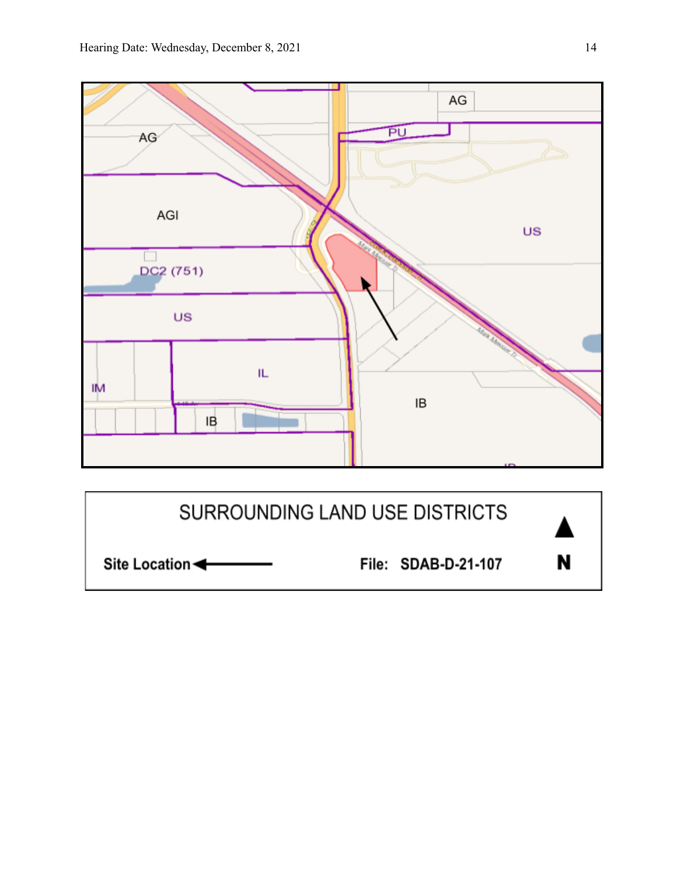



N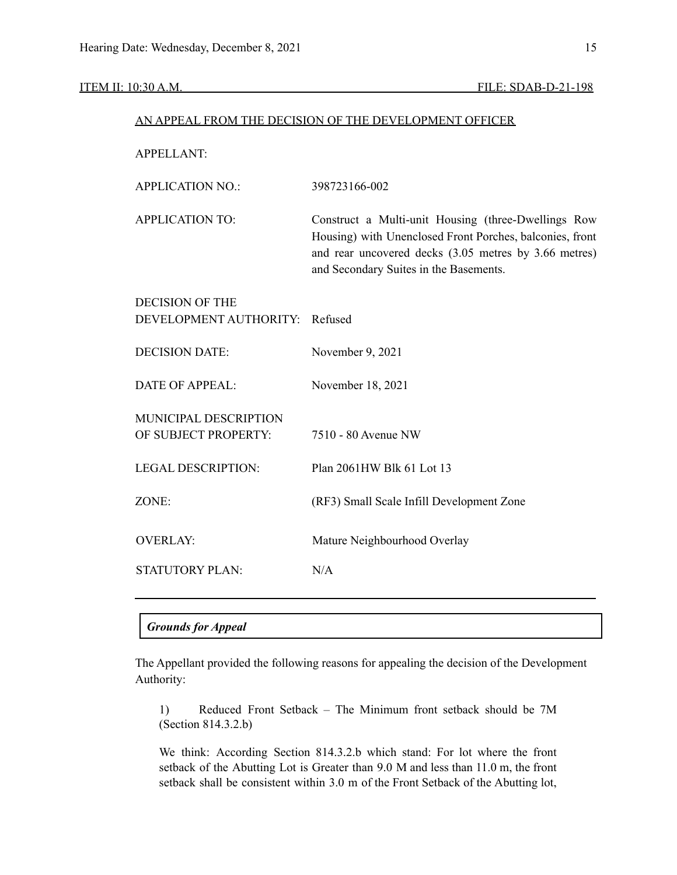### ITEM II: 10:30 A.M. FILE: SDAB-D-21-198

|                                                  | AN APPEAL FROM THE DECISION OF THE DEVELOPMENT OFFICER                                                                                                                                                             |  |  |
|--------------------------------------------------|--------------------------------------------------------------------------------------------------------------------------------------------------------------------------------------------------------------------|--|--|
| <b>APPELLANT:</b>                                |                                                                                                                                                                                                                    |  |  |
| <b>APPLICATION NO.:</b>                          | 398723166-002                                                                                                                                                                                                      |  |  |
| <b>APPLICATION TO:</b>                           | Construct a Multi-unit Housing (three-Dwellings Row<br>Housing) with Unenclosed Front Porches, balconies, front<br>and rear uncovered decks (3.05 metres by 3.66 metres)<br>and Secondary Suites in the Basements. |  |  |
| <b>DECISION OF THE</b><br>DEVELOPMENT AUTHORITY: | Refused                                                                                                                                                                                                            |  |  |
| <b>DECISION DATE:</b>                            | November 9, 2021                                                                                                                                                                                                   |  |  |
| <b>DATE OF APPEAL:</b>                           | November 18, 2021                                                                                                                                                                                                  |  |  |
| MUNICIPAL DESCRIPTION<br>OF SUBJECT PROPERTY:    | 7510 - 80 Avenue NW                                                                                                                                                                                                |  |  |
| <b>LEGAL DESCRIPTION:</b>                        | Plan 2061HW Blk 61 Lot 13                                                                                                                                                                                          |  |  |
| ZONE:                                            | (RF3) Small Scale Infill Development Zone                                                                                                                                                                          |  |  |
| <b>OVERLAY:</b>                                  | Mature Neighbourhood Overlay                                                                                                                                                                                       |  |  |
| <b>STATUTORY PLAN:</b>                           | N/A                                                                                                                                                                                                                |  |  |
|                                                  |                                                                                                                                                                                                                    |  |  |

## *Grounds for Appeal*

The Appellant provided the following reasons for appealing the decision of the Development Authority:

1) Reduced Front Setback – The Minimum front setback should be 7M (Section 814.3.2.b)

We think: According Section 814.3.2.b which stand: For lot where the front setback of the Abutting Lot is Greater than 9.0 M and less than 11.0 m, the front setback shall be consistent within 3.0 m of the Front Setback of the Abutting lot,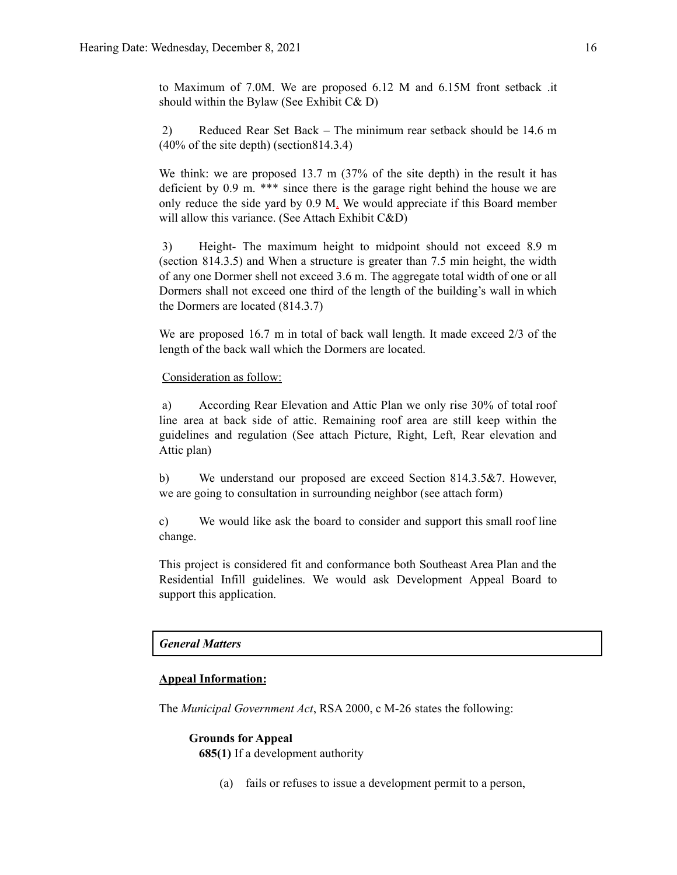to Maximum of 7.0M. We are proposed 6.12 M and 6.15M front setback .it should within the Bylaw (See Exhibit C& D)

2) Reduced Rear Set Back – The minimum rear setback should be 14.6 m (40% of the site depth) (section814.3.4)

We think: we are proposed 13.7 m (37% of the site depth) in the result it has deficient by 0.9 m. \*\*\* since there is the garage right behind the house we are only reduce the side yard by 0.9 M. We would appreciate if this Board member will allow this variance. (See Attach Exhibit C&D)

3) Height- The maximum height to midpoint should not exceed 8.9 m (section 814.3.5) and When a structure is greater than 7.5 min height, the width of any one Dormer shell not exceed 3.6 m. The aggregate total width of one or all Dormers shall not exceed one third of the length of the building's wall in which the Dormers are located (814.3.7)

We are proposed 16.7 m in total of back wall length. It made exceed 2/3 of the length of the back wall which the Dormers are located.

### Consideration as follow:

a) According Rear Elevation and Attic Plan we only rise 30% of total roof line area at back side of attic. Remaining roof area are still keep within the guidelines and regulation (See attach Picture, Right, Left, Rear elevation and Attic plan)

b) We understand our proposed are exceed Section 814.3.5&7. However, we are going to consultation in surrounding neighbor (see attach form)

c) We would like ask the board to consider and support this small roof line change.

This project is considered fit and conformance both Southeast Area Plan and the Residential Infill guidelines. We would ask Development Appeal Board to support this application.

### *General Matters*

### **Appeal Information:**

The *Municipal Government Act*, RSA 2000, c M-26 states the following:

### **Grounds for Appeal**

**685(1)** If a development authority

(a) fails or refuses to issue a development permit to a person,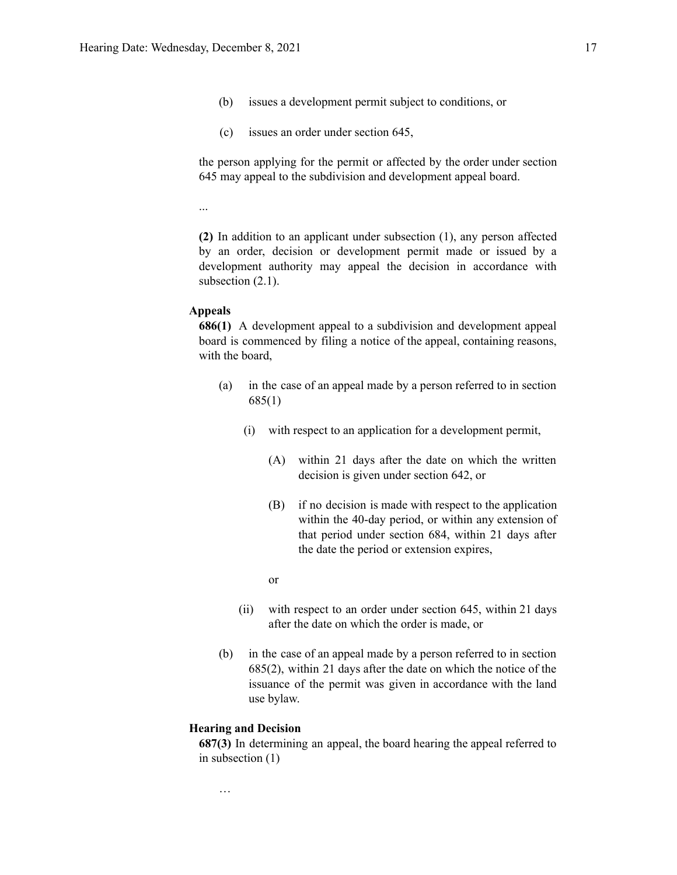- (b) issues a development permit subject to conditions, or
- (c) issues an order under section 645,

the person applying for the permit or affected by the order under section 645 may appeal to the subdivision and development appeal board.

**(2)** In addition to an applicant under subsection (1), any person affected by an order, decision or development permit made or issued by a development authority may appeal the decision in accordance with subsection  $(2.1)$ .

### **Appeals**

...

**686(1)** A development appeal to a subdivision and development appeal board is commenced by filing a notice of the appeal, containing reasons, with the board,

- (a) in the case of an appeal made by a person referred to in section 685(1)
	- (i) with respect to an application for a development permit,
		- (A) within 21 days after the date on which the written decision is given under section 642, or
		- (B) if no decision is made with respect to the application within the 40-day period, or within any extension of that period under section 684, within 21 days after the date the period or extension expires,
		- or
	- (ii) with respect to an order under section 645, within 21 days after the date on which the order is made, or
- (b) in the case of an appeal made by a person referred to in section 685(2), within 21 days after the date on which the notice of the issuance of the permit was given in accordance with the land use bylaw.

### **Hearing and Decision**

…

**687(3)** In determining an appeal, the board hearing the appeal referred to in subsection (1)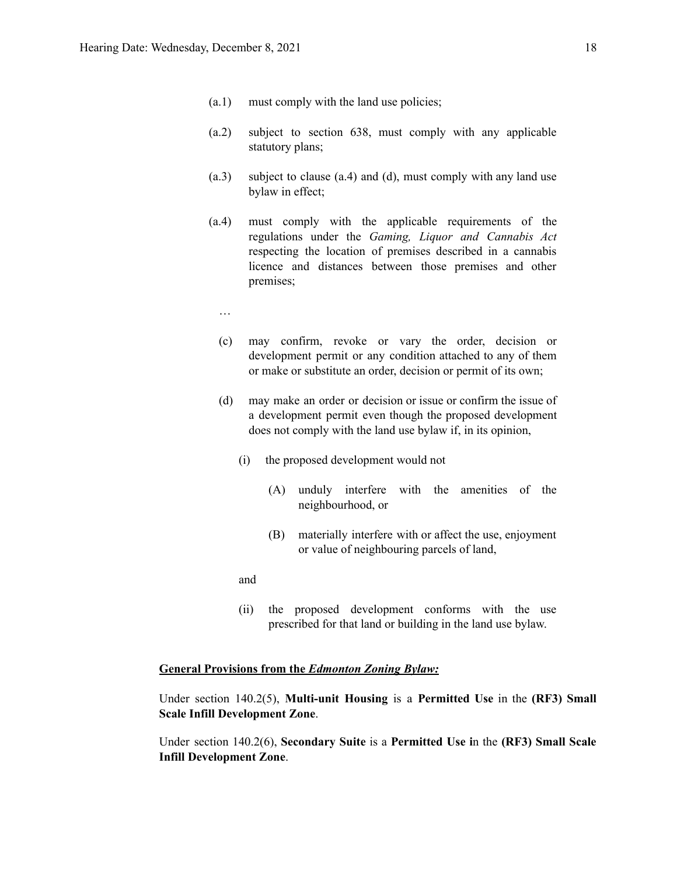- (a.1) must comply with the land use policies;
- (a.2) subject to section 638, must comply with any applicable statutory plans;
- (a.3) subject to clause (a.4) and (d), must comply with any land use bylaw in effect;
- (a.4) must comply with the applicable requirements of the regulations under the *Gaming, Liquor and Cannabis Act* respecting the location of premises described in a cannabis licence and distances between those premises and other premises;
	- …
	- (c) may confirm, revoke or vary the order, decision or development permit or any condition attached to any of them or make or substitute an order, decision or permit of its own;
	- (d) may make an order or decision or issue or confirm the issue of a development permit even though the proposed development does not comply with the land use bylaw if, in its opinion,
		- (i) the proposed development would not
			- (A) unduly interfere with the amenities of the neighbourhood, or
			- (B) materially interfere with or affect the use, enjoyment or value of neighbouring parcels of land,

and

(ii) the proposed development conforms with the use prescribed for that land or building in the land use bylaw.

### **General Provisions from the** *Edmonton Zoning Bylaw:*

Under section 140.2(5), **Multi-unit Housing** is a **Permitted Use** in the **(RF3) Small Scale Infill Development Zone**.

Under section 140.2(6), **Secondary Suite** is a **Permitted Use i**n the **(RF3) Small Scale Infill Development Zone**.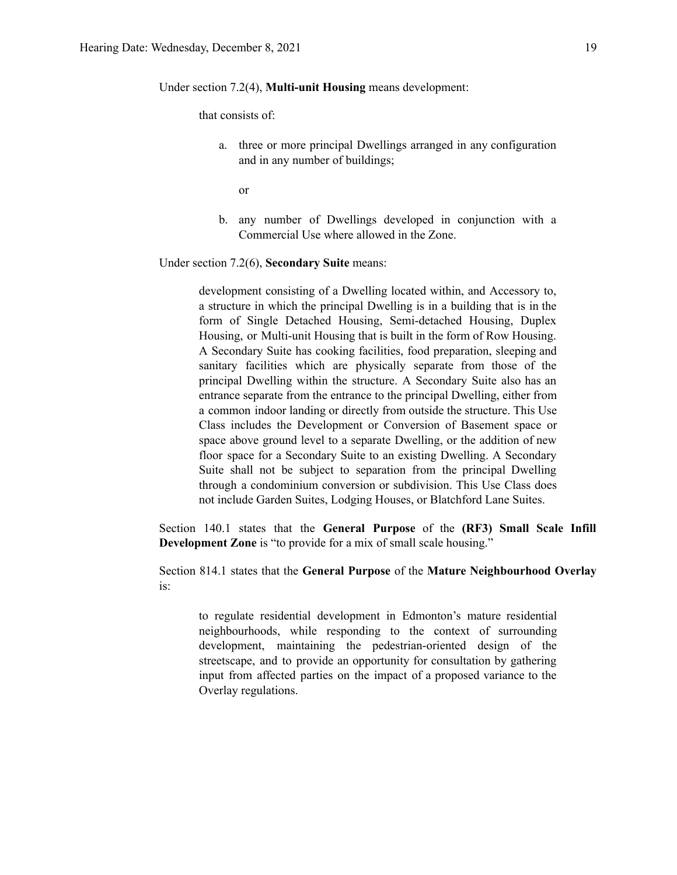Under section 7.2(4), **Multi-unit Housing** means development:

that consists of:

a. three or more principal Dwellings arranged in any configuration and in any number of buildings;

or

b. any number of Dwellings developed in conjunction with a Commercial Use where allowed in the Zone.

Under section 7.2(6), **Secondary Suite** means:

development consisting of a Dwelling located within, and Accessory to, a structure in which the principal Dwelling is in a building that is in the form of Single Detached Housing, Semi-detached Housing, Duplex Housing, or Multi-unit Housing that is built in the form of Row Housing. A Secondary Suite has cooking facilities, food preparation, sleeping and sanitary facilities which are physically separate from those of the principal Dwelling within the structure. A Secondary Suite also has an entrance separate from the entrance to the principal Dwelling, either from a common indoor landing or directly from outside the structure. This Use Class includes the Development or Conversion of Basement space or space above ground level to a separate Dwelling, or the addition of new floor space for a Secondary Suite to an existing Dwelling. A Secondary Suite shall not be subject to separation from the principal Dwelling through a condominium conversion or subdivision. This Use Class does not include Garden Suites, Lodging Houses, or Blatchford Lane Suites.

Section 140.1 states that the **General Purpose** of the **(RF3) Small Scale Infill Development Zone** is "to provide for a mix of small scale housing."

Section 814.1 states that the **General Purpose** of the **Mature Neighbourhood Overlay** is:

to regulate residential development in Edmonton's mature residential neighbourhoods, while responding to the context of surrounding development, maintaining the pedestrian-oriented design of the streetscape, and to provide an opportunity for consultation by gathering input from affected parties on the impact of a proposed variance to the Overlay regulations.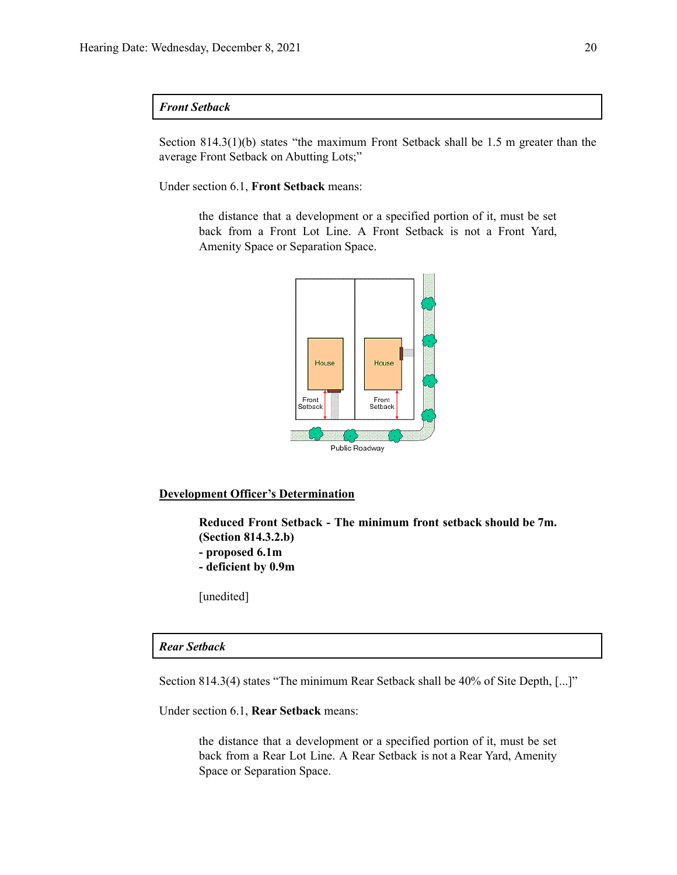### *Front Setback*

Section 814.3(1)(b) states "the maximum Front Setback shall be 1.5 m greater than the average Front Setback on Abutting Lots;"

Under section 6.1, **Front Setback** means:

the distance that a development or a specified portion of it, must be set back from a Front Lot Line. A Front Setback is not a Front Yard, Amenity Space or Separation Space.



### **Development Officer's Determination**

**Reduced Front Setback - The minimum front setback should be 7m. (Section 814.3.2.b) - proposed 6.1m**

**- deficient by 0.9m**

[unedited]

### *Rear Setback*

Section 814.3(4) states "The minimum Rear Setback shall be 40% of Site Depth, [...]"

Under section 6.1, **Rear Setback** means:

the distance that a development or a specified portion of it, must be set back from a Rear Lot Line. A Rear Setback is not a Rear Yard, Amenity Space or Separation Space.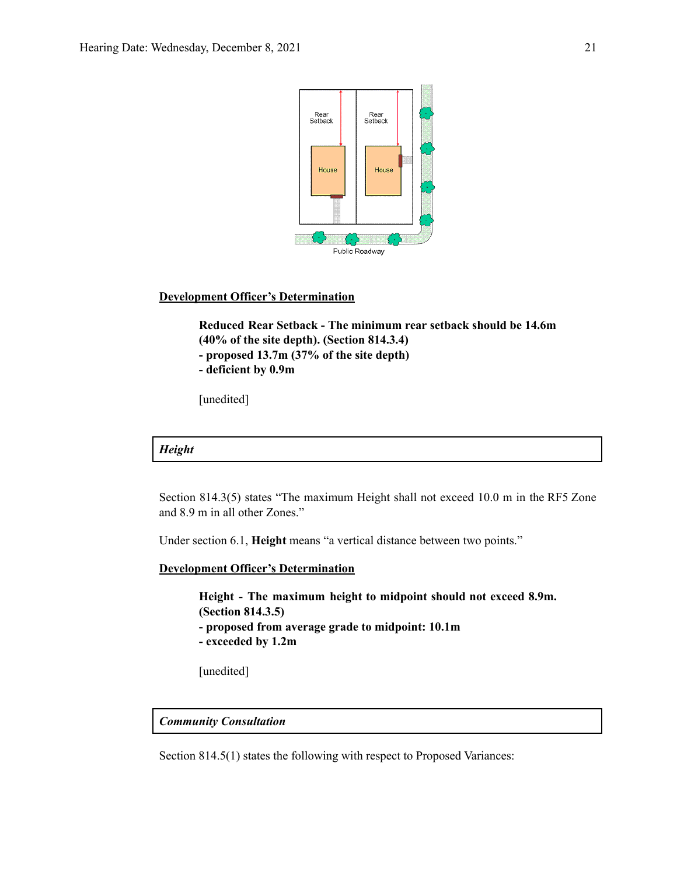

### **Development Officer's Determination**

**Reduced Rear Setback - The minimum rear setback should be 14.6m (40% of the site depth). (Section 814.3.4) - proposed 13.7m (37% of the site depth) - deficient by 0.9m**

[unedited]

```
Height
```
Section 814.3(5) states "The maximum Height shall not exceed 10.0 m in the RF5 Zone and 8.9 m in all other Zones."

Under section 6.1, **Height** means "a vertical distance between two points."

**Development Officer's Determination**

**Height - The maximum height to midpoint should not exceed 8.9m. (Section 814.3.5) - proposed from average grade to midpoint: 10.1m - exceeded by 1.2m**

[unedited]

### *Community Consultation*

Section 814.5(1) states the following with respect to Proposed Variances: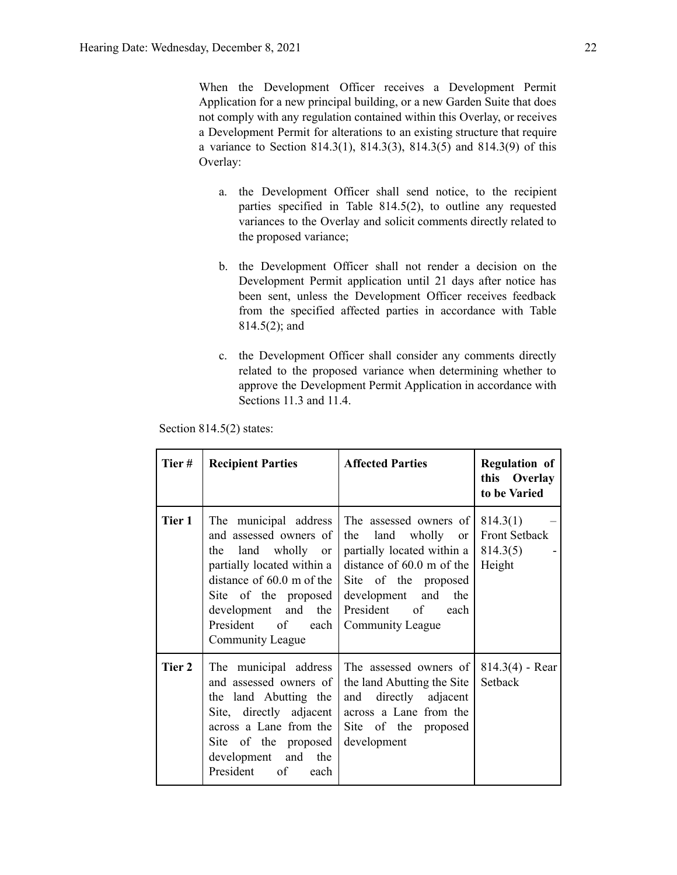When the Development Officer receives a Development Permit Application for a new principal building, or a new Garden Suite that does not comply with any regulation contained within this Overlay, or receives a Development Permit for alterations to an existing structure that require a variance to Section 814.3(1), 814.3(3), 814.3(5) and 814.3(9) of this Overlay:

- a. the Development Officer shall send notice, to the recipient parties specified in Table 814.5(2), to outline any requested variances to the Overlay and solicit comments directly related to the proposed variance;
- b. the Development Officer shall not render a decision on the Development Permit application until 21 days after notice has been sent, unless the Development Officer receives feedback from the specified affected parties in accordance with Table 814.5(2); and
- c. the Development Officer shall consider any comments directly related to the proposed variance when determining whether to approve the Development Permit Application in accordance with Sections 11.3 and 11.4.

Section 814.5(2) states:

| Tier # | <b>Recipient Parties</b>                                                                                                                                                                                                         | <b>Affected Parties</b>                                                                                                                                                                                                     | <b>Regulation of</b><br>this Overlay<br>to be Varied   |
|--------|----------------------------------------------------------------------------------------------------------------------------------------------------------------------------------------------------------------------------------|-----------------------------------------------------------------------------------------------------------------------------------------------------------------------------------------------------------------------------|--------------------------------------------------------|
| Tier 1 | The municipal address<br>and assessed owners of<br>the land wholly or<br>partially located within a<br>distance of $60.0$ m of the<br>Site of the proposed<br>development and the<br>President<br>of<br>each<br>Community League | The assessed owners of<br>land<br>wholly<br>the<br><sub>or</sub><br>partially located within a<br>distance of $60.0$ m of the<br>Site of the proposed<br>development and<br>the<br>President of<br>each<br>Community League | 814.3(1)<br><b>Front Setback</b><br>814.3(5)<br>Height |
| Tier 2 | The municipal address<br>and assessed owners of<br>the land Abutting the<br>Site, directly adjacent<br>across a Lane from the<br>Site of the proposed<br>development and<br>the<br>President of<br>each                          | The assessed owners of<br>the land Abutting the Site<br>and directly adjacent<br>across a Lane from the<br>Site of the proposed<br>development                                                                              | $814.3(4)$ - Rear<br>Setback                           |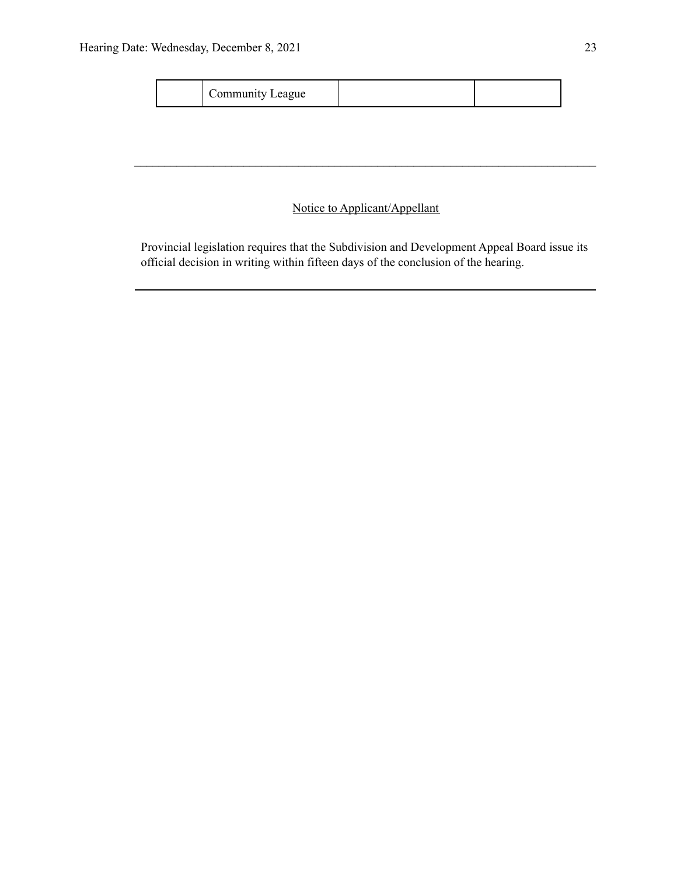| Community League |
|------------------|
|------------------|

## Notice to Applicant/Appellant

 $\mathcal{L}_\mathcal{L} = \{ \mathcal{L}_\mathcal{L} = \{ \mathcal{L}_\mathcal{L} = \{ \mathcal{L}_\mathcal{L} = \{ \mathcal{L}_\mathcal{L} = \{ \mathcal{L}_\mathcal{L} = \{ \mathcal{L}_\mathcal{L} = \{ \mathcal{L}_\mathcal{L} = \{ \mathcal{L}_\mathcal{L} = \{ \mathcal{L}_\mathcal{L} = \{ \mathcal{L}_\mathcal{L} = \{ \mathcal{L}_\mathcal{L} = \{ \mathcal{L}_\mathcal{L} = \{ \mathcal{L}_\mathcal{L} = \{ \mathcal{L}_\mathcal{$ 

Provincial legislation requires that the Subdivision and Development Appeal Board issue its official decision in writing within fifteen days of the conclusion of the hearing.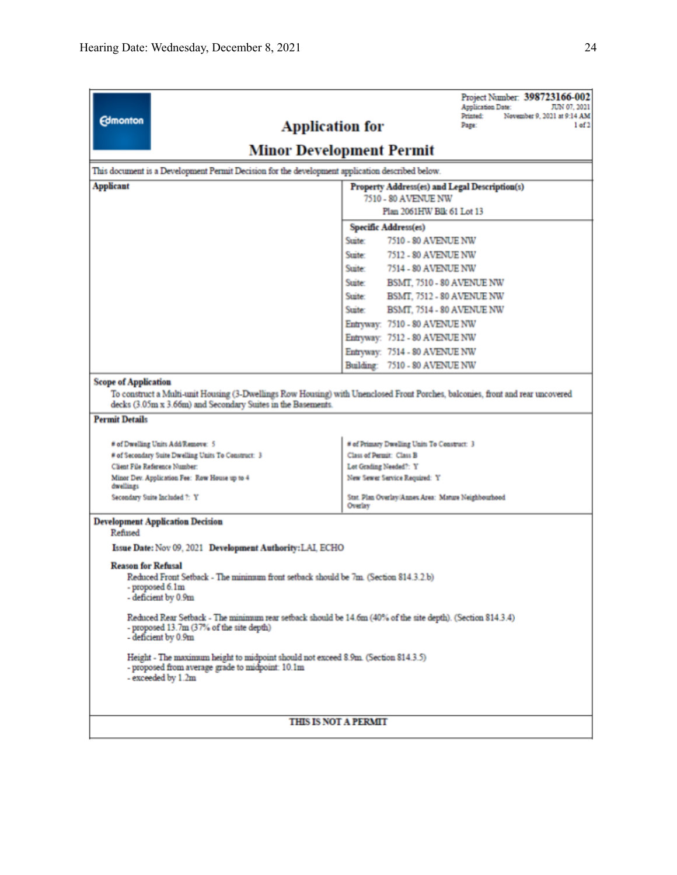| <b>Edmonton</b>                                                                                                                                                                                                                                        | Project Number: 398723166-002<br><b>Application Date:</b><br>JUN 07, 2021<br>Printed:<br>November 9, 2021 at 9:14 AM<br><b>Application for</b><br>Page:<br>1 of 2 |  |  |  |
|--------------------------------------------------------------------------------------------------------------------------------------------------------------------------------------------------------------------------------------------------------|-------------------------------------------------------------------------------------------------------------------------------------------------------------------|--|--|--|
|                                                                                                                                                                                                                                                        | <b>Minor Development Permit</b>                                                                                                                                   |  |  |  |
| This document is a Development Permit Decision for the development application described below.                                                                                                                                                        |                                                                                                                                                                   |  |  |  |
| <b>Applicant</b><br>Property Address(es) and Legal Description(s)                                                                                                                                                                                      |                                                                                                                                                                   |  |  |  |
|                                                                                                                                                                                                                                                        | 7510 - 80 AVENUE NW                                                                                                                                               |  |  |  |
|                                                                                                                                                                                                                                                        | Plan 2061HW Blk 61 Lot 13                                                                                                                                         |  |  |  |
|                                                                                                                                                                                                                                                        | Specific Address(es)                                                                                                                                              |  |  |  |
|                                                                                                                                                                                                                                                        | Suite:<br>7510 - 80 AVENUE NW                                                                                                                                     |  |  |  |
|                                                                                                                                                                                                                                                        | Suite:<br>7512 - 80 AVENUE NW<br>Suite:                                                                                                                           |  |  |  |
|                                                                                                                                                                                                                                                        | 7514 - 80 AVENUE NW                                                                                                                                               |  |  |  |
|                                                                                                                                                                                                                                                        | Suite:<br>BSMT, 7510 - 80 AVENUE NW<br>Suite:                                                                                                                     |  |  |  |
|                                                                                                                                                                                                                                                        | BSMT, 7512 - 80 AVENUE NW<br>Suite:<br>BSMT, 7514 - 80 AVENUE NW                                                                                                  |  |  |  |
|                                                                                                                                                                                                                                                        | Entryway: 7510 - 80 AVENUE NW                                                                                                                                     |  |  |  |
|                                                                                                                                                                                                                                                        | Entryway: 7512 - 80 AVENUE NW                                                                                                                                     |  |  |  |
|                                                                                                                                                                                                                                                        | Entryway: 7514 - 80 AVENUE NW                                                                                                                                     |  |  |  |
|                                                                                                                                                                                                                                                        | Building: 7510 - 80 AVENUE NW                                                                                                                                     |  |  |  |
| <b>Scope of Application</b><br>To construct a Multi-unit Housing (3-Dwellings Row Housing) with Unenclosed Front Porches, balconies, front and rear uncovered<br>decks (3.05m x 3.66m) and Secondary Suites in the Basements.<br><b>Permit Details</b> |                                                                                                                                                                   |  |  |  |
| # of Dwelling Units Add/Remove: 5                                                                                                                                                                                                                      | # of Primary Dwelling Units To Construct: 3                                                                                                                       |  |  |  |
| # of Secondary Suite Dwelling Units To Construct: 3                                                                                                                                                                                                    | Class of Permit: Class B                                                                                                                                          |  |  |  |
| Client File Reference Number:                                                                                                                                                                                                                          | Lot Grading Needed?: Y                                                                                                                                            |  |  |  |
| Minor Dev. Application Fee: Row House up to 4<br>dwellings                                                                                                                                                                                             | New Sewer Service Required: Y                                                                                                                                     |  |  |  |
| Secondary Suite Included ?: Y                                                                                                                                                                                                                          | Stat. Plan Overlay/Annex Area: Mature Neighbourhood<br>Overlay                                                                                                    |  |  |  |
| <b>Development Application Decision</b><br>Refused                                                                                                                                                                                                     |                                                                                                                                                                   |  |  |  |
| Issue Date: Nov 09, 2021 Development Authority: LAI, ECHO                                                                                                                                                                                              |                                                                                                                                                                   |  |  |  |
| <b>Reason for Refusal</b><br>Reduced Front Setback - The minimum front setback should be 7m. (Section 814.3.2.b)<br>- proposed 6.1m<br>- deficient by 0.9m                                                                                             |                                                                                                                                                                   |  |  |  |
| Reduced Rear Setback - The minimum rear setback should be 14.6m (40% of the site depth). (Section 814.3.4)<br>- proposed 13.7m (37% of the site depth)<br>- deficient by 0.9m                                                                          |                                                                                                                                                                   |  |  |  |
| Height - The maximum height to midpoint should not exceed 8.9m. (Section 814.3.5)<br>- proposed from average grade to midpoint: 10.1m<br>- exceeded by 1.2m                                                                                            |                                                                                                                                                                   |  |  |  |
|                                                                                                                                                                                                                                                        |                                                                                                                                                                   |  |  |  |
| <b>THIS IS NOT A PERMIT</b>                                                                                                                                                                                                                            |                                                                                                                                                                   |  |  |  |
|                                                                                                                                                                                                                                                        |                                                                                                                                                                   |  |  |  |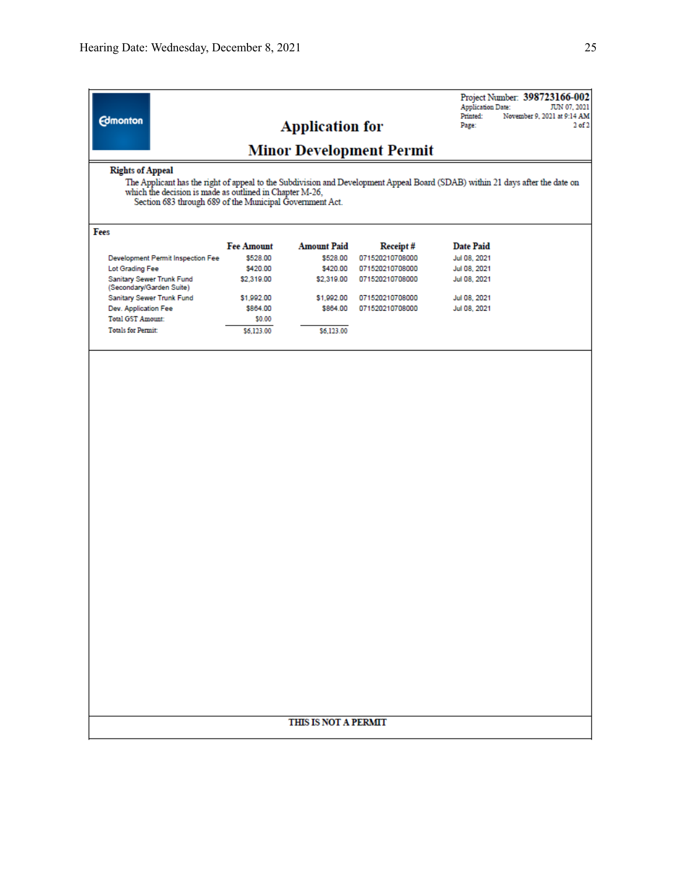| <b>Edmonton</b>                                                                                                                                                                                                                                                                 | <b>Application for</b><br><b>Minor Development Permit</b> |                    |                 | <b>Application Date:</b><br>Printed:<br>Page: | JUN 07, 2021<br>November 9, 2021 at 9:14 AM<br>$2$ of $2$ |
|---------------------------------------------------------------------------------------------------------------------------------------------------------------------------------------------------------------------------------------------------------------------------------|-----------------------------------------------------------|--------------------|-----------------|-----------------------------------------------|-----------------------------------------------------------|
| <b>Rights of Appeal</b><br>The Applicant has the right of appeal to the Subdivision and Development Appeal Board (SDAB) within 21 days after the date on<br>which the decision is made as outlined in Chapter M-26,<br>Section 683 through 689 of the Municipal Government Act. |                                                           |                    |                 |                                               |                                                           |
| Fees                                                                                                                                                                                                                                                                            |                                                           |                    |                 |                                               |                                                           |
|                                                                                                                                                                                                                                                                                 | <b>Fee Amount</b>                                         | <b>Amount Paid</b> | Receipt#        | <b>Date Paid</b>                              |                                                           |
| Development Permit Inspection Fee                                                                                                                                                                                                                                               | \$528.00                                                  | \$528.00           | 071520210708000 | Jul 08, 2021                                  |                                                           |
| Lot Grading Fee                                                                                                                                                                                                                                                                 | \$420.00                                                  | \$420.00           | 071520210708000 | Jul 08, 2021                                  |                                                           |
| Sanitary Sewer Trunk Fund<br>(Secondary/Garden Suite)                                                                                                                                                                                                                           | \$2,319.00                                                | \$2,319.00         | 071520210708000 | Jul 08, 2021                                  |                                                           |
| Sanitary Sewer Trunk Fund                                                                                                                                                                                                                                                       | \$1,992.00                                                | \$1,992.00         | 071520210708000 | Jul 08, 2021                                  |                                                           |
| Dev. Application Fee                                                                                                                                                                                                                                                            | \$864.00                                                  | \$864.00           | 071520210708000 | Jul 08, 2021                                  |                                                           |
| <b>Total GST Amount:</b>                                                                                                                                                                                                                                                        | \$0.00                                                    |                    |                 |                                               |                                                           |
| <b>Totals for Permit:</b>                                                                                                                                                                                                                                                       | \$6,123.00                                                | \$6,123,00         |                 |                                               |                                                           |
|                                                                                                                                                                                                                                                                                 |                                                           |                    |                 |                                               |                                                           |
|                                                                                                                                                                                                                                                                                 |                                                           |                    |                 |                                               |                                                           |
|                                                                                                                                                                                                                                                                                 |                                                           |                    |                 |                                               |                                                           |
|                                                                                                                                                                                                                                                                                 |                                                           |                    |                 |                                               |                                                           |
|                                                                                                                                                                                                                                                                                 |                                                           |                    |                 |                                               |                                                           |
|                                                                                                                                                                                                                                                                                 |                                                           |                    |                 |                                               |                                                           |
|                                                                                                                                                                                                                                                                                 |                                                           |                    |                 |                                               |                                                           |
|                                                                                                                                                                                                                                                                                 |                                                           |                    |                 |                                               |                                                           |

## THIS IS NOT A PERMIT